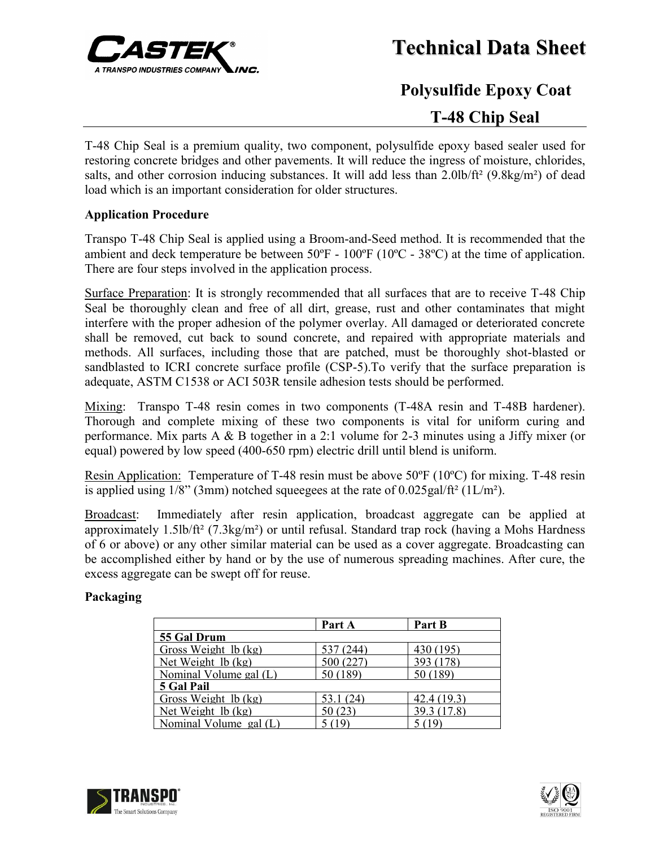

**Technical Data Sheet**

# **Polysulfide Epoxy Coat T-48 Chip Seal**

T-48 Chip Seal is a premium quality, two component, polysulfide epoxy based sealer used for restoring concrete bridges and other pavements. It will reduce the ingress of moisture, chlorides, salts, and other corrosion inducing substances. It will add less than  $2.0$ lb/ft² (9.8kg/m²) of dead load which is an important consideration for older structures.

## **Application Procedure**

Transpo T-48 Chip Seal is applied using a Broom-and-Seed method. It is recommended that the ambient and deck temperature be between 50ºF - 100ºF (10ºC - 38ºC) at the time of application. There are four steps involved in the application process.

Surface Preparation: It is strongly recommended that all surfaces that are to receive T-48 Chip Seal be thoroughly clean and free of all dirt, grease, rust and other contaminates that might interfere with the proper adhesion of the polymer overlay. All damaged or deteriorated concrete shall be removed, cut back to sound concrete, and repaired with appropriate materials and methods. All surfaces, including those that are patched, must be thoroughly shot-blasted or sandblasted to ICRI concrete surface profile (CSP-5).To verify that the surface preparation is adequate, ASTM C1538 or ACI 503R tensile adhesion tests should be performed.

Mixing: Transpo T-48 resin comes in two components (T-48A resin and T-48B hardener). Thorough and complete mixing of these two components is vital for uniform curing and performance. Mix parts A & B together in a 2:1 volume for 2-3 minutes using a Jiffy mixer (or equal) powered by low speed (400-650 rpm) electric drill until blend is uniform.

Resin Application: Temperature of T-48 resin must be above 50ºF (10ºC) for mixing. T-48 resin is applied using  $1/8$ " (3mm) notched squeegees at the rate of  $0.025$  gal/ft<sup>2</sup> (1L/m<sup>2</sup>).

Broadcast: Immediately after resin application, broadcast aggregate can be applied at approximately 1.5lb/ft² (7.3kg/m²) or until refusal. Standard trap rock (having a Mohs Hardness of 6 or above) or any other similar material can be used as a cover aggregate. Broadcasting can be accomplished either by hand or by the use of numerous spreading machines. After cure, the excess aggregate can be swept off for reuse.

## **Packaging**

|                                     | Part A    | Part B      |
|-------------------------------------|-----------|-------------|
| 55 Gal Drum                         |           |             |
| Gross Weight 1b (kg)                | 537 (244) | 430 (195)   |
| Net Weight $\lfloor b$ (kg)         | 500 (227) | 393 (178)   |
| Nominal Volume gal (L)              | 50 (189)  | 50 (189)    |
| 5 Gal Pail                          |           |             |
| Gross Weight $\lfloor b$ (kg)       | 53.1(24)  | 42.4 (19.3) |
| Net Weight $\lfloor \log h \rfloor$ | 50(23)    | 39.3 (17.8) |
| Nominal Volume gal (L)              | 5(19)     | 5 (19)      |